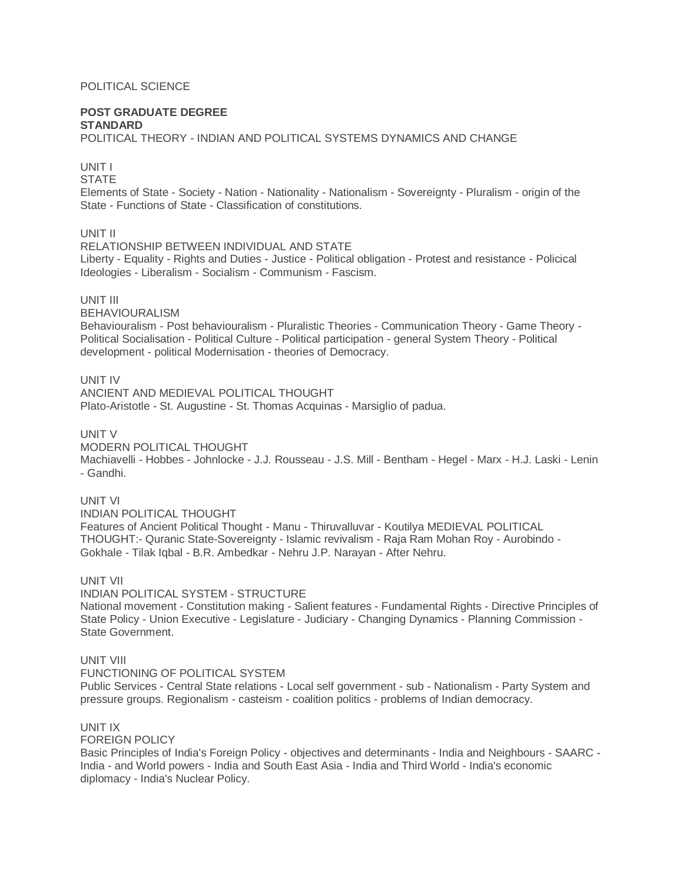## POLITICAL SCIENCE

## **POST GRADUATE DEGREE STANDARD**

POLITICAL THEORY - INDIAN AND POLITICAL SYSTEMS DYNAMICS AND CHANGE

# UNIT I

**STATE** 

Elements of State - Society - Nation - Nationality - Nationalism - Sovereignty - Pluralism - origin of the State - Functions of State - Classification of constitutions.

## UNIT II

RELATIONSHIP BETWEEN INDIVIDUAL AND STATE Liberty - Equality - Rights and Duties - Justice - Political obligation - Protest and resistance - Policical Ideologies - Liberalism - Socialism - Communism - Fascism.

# UNIT III

BEHAVIOURALISM

Behaviouralism - Post behaviouralism - Pluralistic Theories - Communication Theory - Game Theory - Political Socialisation - Political Culture - Political participation - general System Theory - Political development - political Modernisation - theories of Democracy.

## UNIT IV

ANCIENT AND MEDIEVAL POLITICAL THOUGHT Plato-Aristotle - St. Augustine - St. Thomas Acquinas - Marsiglio of padua.

#### UNIT V

MODERN POLITICAL THOUGHT

Machiavelli - Hobbes - Johnlocke - J.J. Rousseau - J.S. Mill - Bentham - Hegel - Marx - H.J. Laski - Lenin - Gandhi.

## UNIT VI

INDIAN POLITICAL THOUGHT Features of Ancient Political Thought - Manu - Thiruvalluvar - Koutilya MEDIEVAL POLITICAL THOUGHT:- Quranic State-Sovereignty - Islamic revivalism - Raja Ram Mohan Roy - Aurobindo - Gokhale - Tilak Iqbal - B.R. Ambedkar - Nehru J.P. Narayan - After Nehru.

## UNIT VII

INDIAN POLITICAL SYSTEM - STRUCTURE National movement - Constitution making - Salient features - Fundamental Rights - Directive Principles of State Policy - Union Executive - Legislature - Judiciary - Changing Dynamics - Planning Commission - State Government.

## UNIT VIII

FUNCTIONING OF POLITICAL SYSTEM Public Services - Central State relations - Local self government - sub - Nationalism - Party System and pressure groups. Regionalism - casteism - coalition politics - problems of Indian democracy.

#### UNIT IX

FOREIGN POLICY

Basic Principles of India's Foreign Policy - objectives and determinants - India and Neighbours - SAARC - India - and World powers - India and South East Asia - India and Third World - India's economic diplomacy - India's Nuclear Policy.